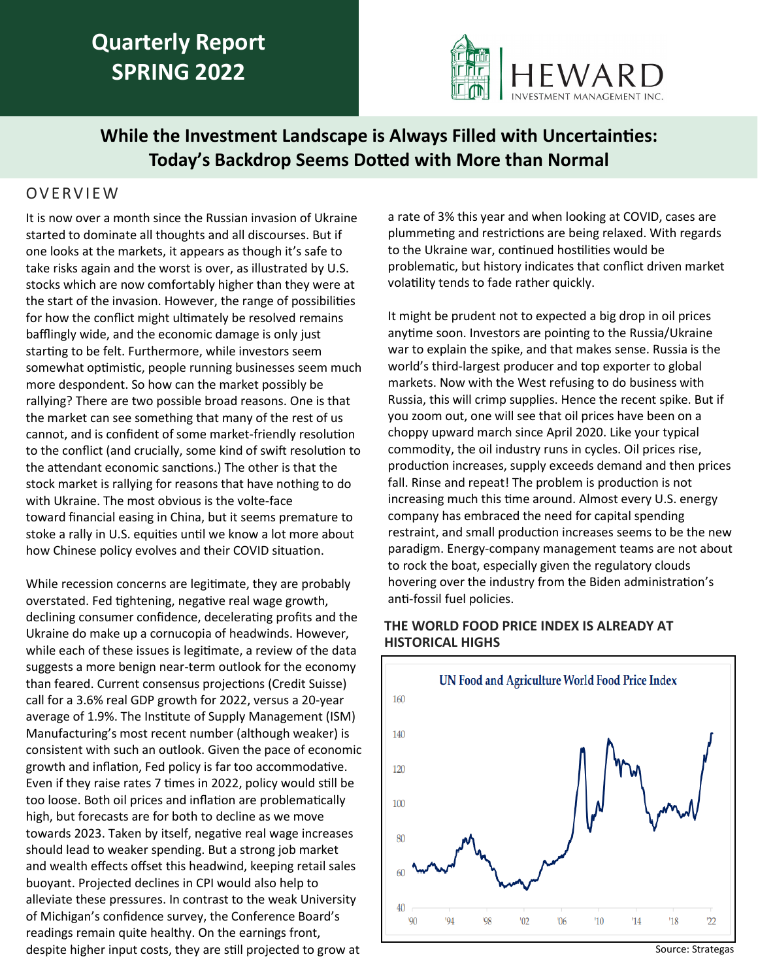# **Quarterly Report SPRING 2022**



## **While the Investment Landscape is Always Filled with Uncertainties: Today's Backdrop Seems Dotted with More than Normal**

### O V E R V I E W

It is now over a month since the Russian invasion of Ukraine started to dominate all thoughts and all discourses. But if one looks at the markets, it appears as though it's safe to take risks again and the worst is over, as illustrated by U.S. stocks which are now comfortably higher than they were at the start of the invasion. However, the range of possibilities for how the conflict might ultimately be resolved remains bafflingly wide, and the economic damage is only just starting to be felt. Furthermore, while investors seem somewhat optimistic, people running businesses seem much more despondent. So how can the market possibly be rallying? There are two possible broad reasons. One is that the market can see something that many of the rest of us cannot, and is confident of some market-friendly resolution to the conflict (and crucially, some kind of swift resolution to the attendant economic sanctions.) The other is that the stock market is rallying for reasons that have nothing to do with Ukraine. The most obvious is the volte-face toward financial easing in China, but it seems premature to stoke a rally in U.S. equities until we know a lot more about how Chinese policy evolves and their COVID situation.

While recession concerns are legitimate, they are probably overstated. Fed tightening, negative real wage growth, declining consumer confidence, decelerating profits and the Ukraine do make up a cornucopia of headwinds. However, while each of these issues is legitimate, a review of the data suggests a more benign near-term outlook for the economy than feared. Current consensus projections (Credit Suisse) call for a 3.6% real GDP growth for 2022, versus a 20-year average of 1.9%. The Institute of Supply Management (ISM) Manufacturing's most recent number (although weaker) is consistent with such an outlook. Given the pace of economic growth and inflation, Fed policy is far too accommodative. Even if they raise rates 7 times in 2022, policy would still be too loose. Both oil prices and inflation are problematically high, but forecasts are for both to decline as we move towards 2023. Taken by itself, negative real wage increases should lead to weaker spending. But a strong job market and wealth effects offset this headwind, keeping retail sales buoyant. Projected declines in CPI would also help to alleviate these pressures. In contrast to the weak University of Michigan's confidence survey, the Conference Board's readings remain quite healthy. On the earnings front, despite higher input costs, they are still projected to grow at

a rate of 3% this year and when looking at COVID, cases are plummeting and restrictions are being relaxed. With regards to the Ukraine war, continued hostilities would be problematic, but history indicates that conflict driven market volatility tends to fade rather quickly.

It might be prudent not to expected a big drop in oil prices anytime soon. Investors are pointing to the Russia/Ukraine war to explain the spike, and that makes sense. Russia is the world's third-largest producer and top exporter to global markets. Now with the West refusing to do business with Russia, this will crimp supplies. Hence the recent spike. But if you zoom out, one will see that oil prices have been on a choppy upward march since April 2020. Like your typical commodity, the oil industry runs in cycles. Oil prices rise, production increases, supply exceeds demand and then prices fall. Rinse and repeat! The problem is production is not increasing much this time around. Almost every U.S. energy company has embraced the need for capital spending restraint, and small production increases seems to be the new paradigm. Energy-company management teams are not about to rock the boat, especially given the regulatory clouds hovering over the industry from the Biden administration's anti-fossil fuel policies.

### **THE WORLD FOOD PRICE INDEX IS ALREADY AT HISTORICAL HIGHS**

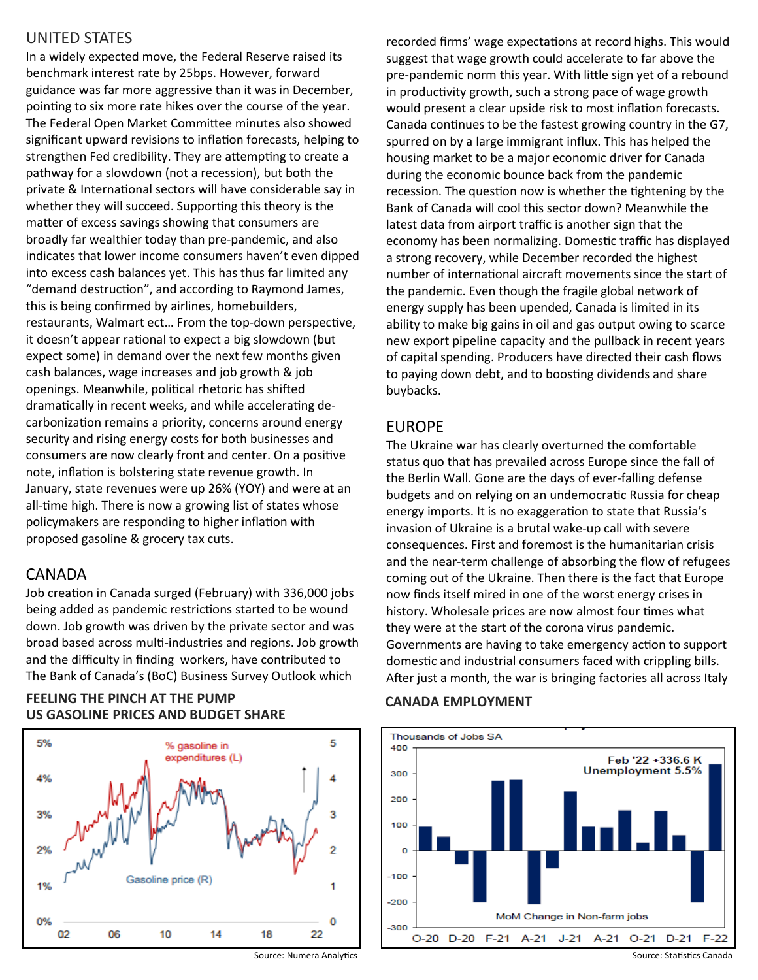### UNITED STATES

In a widely expected move, the Federal Reserve raised its benchmark interest rate by 25bps. However, forward guidance was far more aggressive than it was in December, pointing to six more rate hikes over the course of the year. The Federal Open Market Committee minutes also showed significant upward revisions to inflation forecasts, helping to strengthen Fed credibility. They are attempting to create a pathway for a slowdown (not a recession), but both the private & International sectors will have considerable say in whether they will succeed. Supporting this theory is the matter of excess savings showing that consumers are broadly far wealthier today than pre-pandemic, and also indicates that lower income consumers haven't even dipped into excess cash balances yet. This has thus far limited any "demand destruction", and according to Raymond James, this is being confirmed by airlines, homebuilders, restaurants, Walmart ect… From the top-down perspective, it doesn't appear rational to expect a big slowdown (but expect some) in demand over the next few months given cash balances, wage increases and job growth & job openings. Meanwhile, political rhetoric has shifted dramatically in recent weeks, and while accelerating decarbonization remains a priority, concerns around energy security and rising energy costs for both businesses and consumers are now clearly front and center. On a positive note, inflation is bolstering state revenue growth. In January, state revenues were up 26% (YOY) and were at an all-time high. There is now a growing list of states whose policymakers are responding to higher inflation with proposed gasoline & grocery tax cuts.

### CANADA

Job creation in Canada surged (February) with 336,000 jobs being added as pandemic restrictions started to be wound down. Job growth was driven by the private sector and was broad based across multi-industries and regions. Job growth and the difficulty in finding workers, have contributed to The Bank of Canada's (BoC) Business Survey Outlook which

### **CANADA EMPLOYMENT FEELING THE PINCH AT THE PUMP US GASOLINE PRICES AND BUDGET SHARE**



recorded firms' wage expectations at record highs. This would suggest that wage growth could accelerate to far above the pre-pandemic norm this year. With little sign yet of a rebound in productivity growth, such a strong pace of wage growth would present a clear upside risk to most inflation forecasts. Canada continues to be the fastest growing country in the G7, spurred on by a large immigrant influx. This has helped the housing market to be a major economic driver for Canada during the economic bounce back from the pandemic recession. The question now is whether the tightening by the Bank of Canada will cool this sector down? Meanwhile the latest data from airport traffic is another sign that the economy has been normalizing. Domestic traffic has displayed a strong recovery, while December recorded the highest number of international aircraft movements since the start of the pandemic. Even though the fragile global network of energy supply has been upended, Canada is limited in its ability to make big gains in oil and gas output owing to scarce new export pipeline capacity and the pullback in recent years of capital spending. Producers have directed their cash flows to paying down debt, and to boosting dividends and share buybacks.

### EUROPE

The Ukraine war has clearly overturned the comfortable status quo that has prevailed across Europe since the fall of the Berlin Wall. Gone are the days of ever-falling defense budgets and on relying on an undemocratic Russia for cheap energy imports. It is no exaggeration to state that Russia's invasion of Ukraine is a brutal wake-up call with severe consequences. First and foremost is the humanitarian crisis and the near-term challenge of absorbing the flow of refugees coming out of the Ukraine. Then there is the fact that Europe now finds itself mired in one of the worst energy crises in history. Wholesale prices are now almost four times what they were at the start of the corona virus pandemic. Governments are having to take emergency action to support domestic and industrial consumers faced with crippling bills. After just a month, the war is bringing factories all across Italy

### Thousands of Jobs SA 400 Feb '22 +336.6 K Unemployment 5.5% 300 200 100  $\Omega$  $-100$  $-200$ MoM Change in Non-farm jobs -300  $F-21$  $O-20$  $D-20$ A-21  $J-21$  A-21  $O-21$  $D-21$  $F-22$

Source: Numera Analytics

Source: Statistics Canada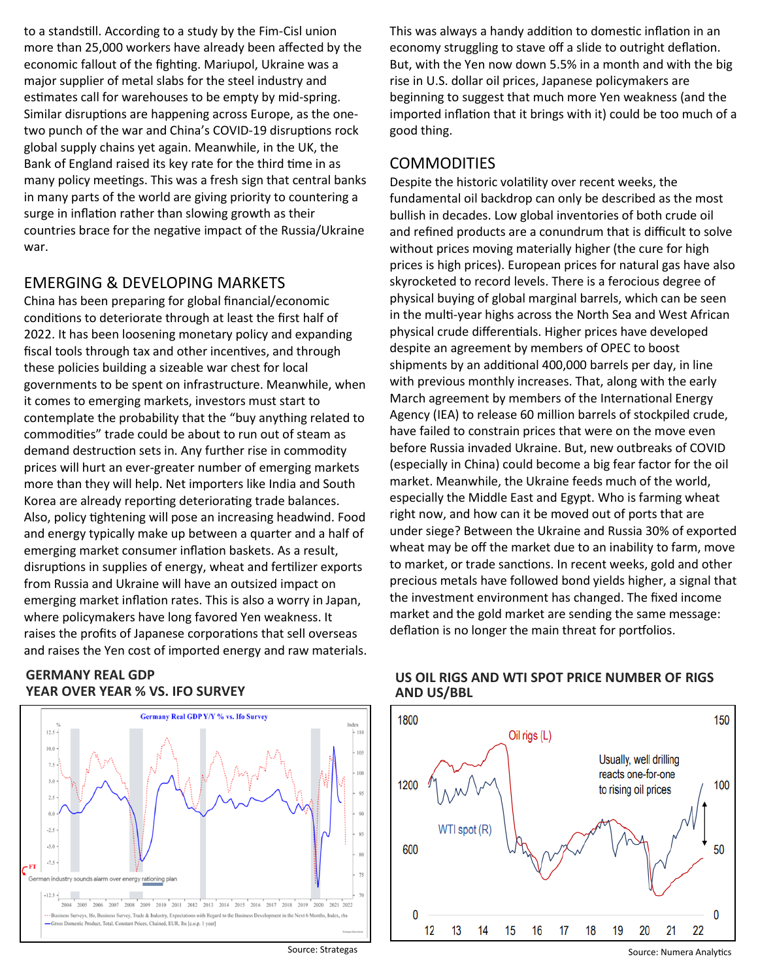to a standstill. According to a study by the Fim-Cisl union more than 25,000 workers have already been affected by the economic fallout of the fighting. Mariupol, Ukraine was a major supplier of metal slabs for the steel industry and estimates call for warehouses to be empty by mid-spring. Similar disruptions are happening across Europe, as the onetwo punch of the war and China's COVID-19 disruptions rock global supply chains yet again. Meanwhile, in the UK, the Bank of England raised its key rate for the third time in as many policy meetings. This was a fresh sign that central banks in many parts of the world are giving priority to countering a surge in inflation rather than slowing growth as their countries brace for the negative impact of the Russia/Ukraine war.

### EMERGING & DEVELOPING MARKETS

China has been preparing for global financial/economic conditions to deteriorate through at least the first half of 2022. It has been loosening monetary policy and expanding fiscal tools through tax and other incentives, and through these policies building a sizeable war chest for local governments to be spent on infrastructure. Meanwhile, when it comes to emerging markets, investors must start to contemplate the probability that the "buy anything related to commodities" trade could be about to run out of steam as demand destruction sets in. Any further rise in commodity prices will hurt an ever-greater number of emerging markets more than they will help. Net importers like India and South Korea are already reporting deteriorating trade balances. Also, policy tightening will pose an increasing headwind. Food and energy typically make up between a quarter and a half of emerging market consumer inflation baskets. As a result, disruptions in supplies of energy, wheat and fertilizer exports from Russia and Ukraine will have an outsized impact on emerging market inflation rates. This is also a worry in Japan, where policymakers have long favored Yen weakness. It raises the profits of Japanese corporations that sell overseas and raises the Yen cost of imported energy and raw materials.

### **GERMANY REAL GDP YEAR OVER YEAR % VS. IFO SURVEY**



This was always a handy addition to domestic inflation in an economy struggling to stave off a slide to outright deflation. But, with the Yen now down 5.5% in a month and with the big rise in U.S. dollar oil prices, Japanese policymakers are beginning to suggest that much more Yen weakness (and the imported inflation that it brings with it) could be too much of a good thing.

### COMMODITIES

Despite the historic volatility over recent weeks, the fundamental oil backdrop can only be described as the most bullish in decades. Low global inventories of both crude oil and refined products are a conundrum that is difficult to solve without prices moving materially higher (the cure for high prices is high prices). European prices for natural gas have also skyrocketed to record levels. There is a ferocious degree of physical buying of global marginal barrels, which can be seen in the multi-year highs across the North Sea and West African physical crude differentials. Higher prices have developed despite an agreement by members of OPEC to boost shipments by an additional 400,000 barrels per day, in line with previous monthly increases. That, along with the early March agreement by members of the International Energy Agency (IEA) to release 60 million barrels of stockpiled crude, have failed to constrain prices that were on the move even before Russia invaded Ukraine. But, new outbreaks of COVID (especially in China) could become a big fear factor for the oil market. Meanwhile, the Ukraine feeds much of the world, especially the Middle East and Egypt. Who is farming wheat right now, and how can it be moved out of ports that are under siege? Between the Ukraine and Russia 30% of exported wheat may be off the market due to an inability to farm, move to market, or trade sanctions. In recent weeks, gold and other precious metals have followed bond yields higher, a signal that the investment environment has changed. The fixed income market and the gold market are sending the same message: deflation is no longer the main threat for portfolios.



### **US OIL RIGS AND WTI SPOT PRICE NUMBER OF RIGS AND US/BBL**

Source: Strategas

Source: Numera Analytics